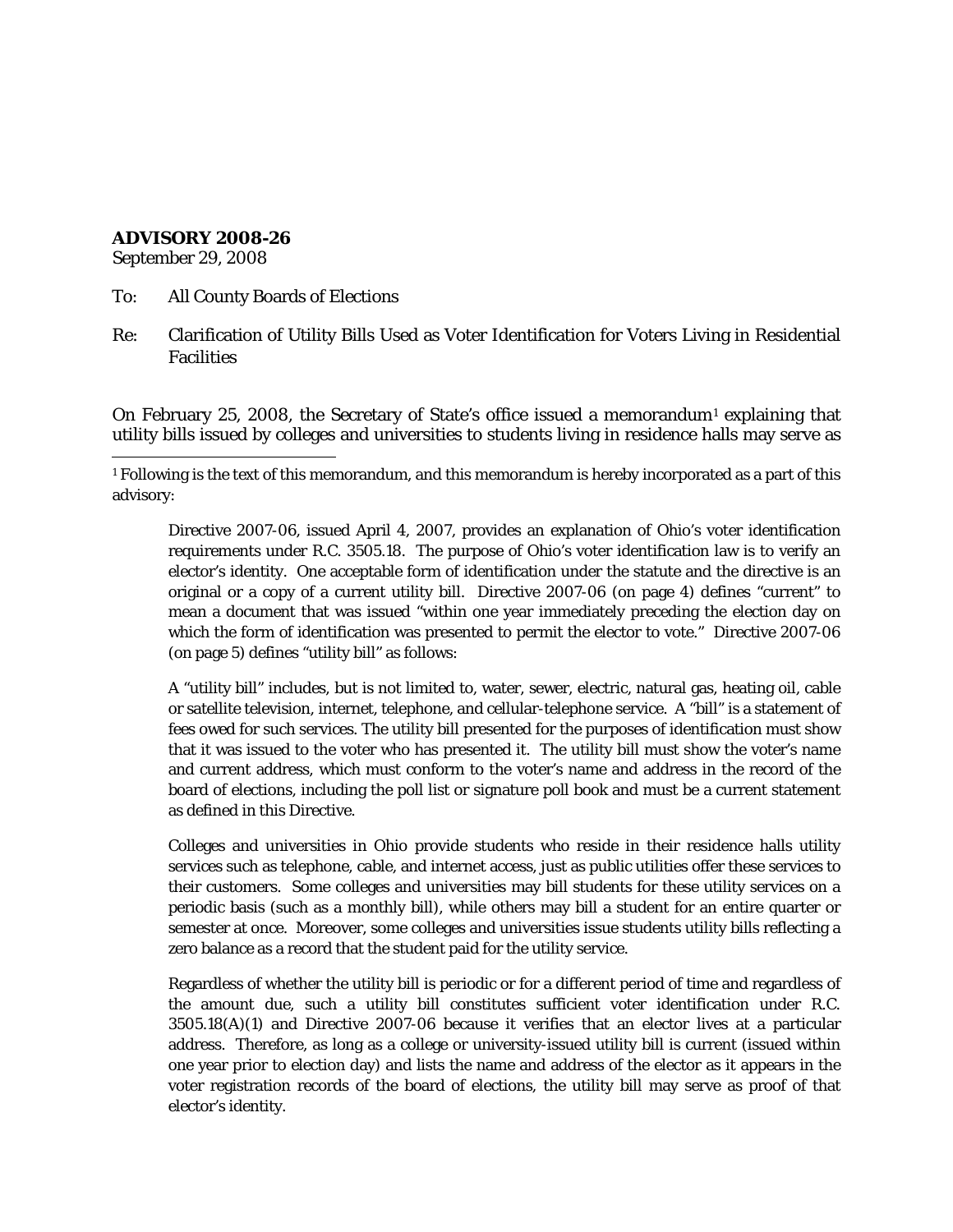## **ADVISORY 2008-26**

September 29, 2008

- To: All County Boards of Elections
- Re: Clarification of Utility Bills Used as Voter Identification for Voters Living in Residential Facilities

On February 25, 2008, the Secretary of State's office issued a memorandum<sup>[1](#page-0-0)</sup> explaining that utility bills issued by colleges and universities to students living in residence halls may serve as

<span id="page-0-0"></span> $\overline{a}$ <sup>1</sup> Following is the text of this memorandum, and this memorandum is hereby incorporated as a part of this advisory:

Directive 2007-06, issued April 4, 2007, provides an explanation of Ohio's voter identification requirements under R.C. 3505.18. The purpose of Ohio's voter identification law is to verify an elector's identity. One acceptable form of identification under the statute and the directive is an original or a copy of a current utility bill. Directive 2007-06 (on page 4) defines "current" to mean a document that was issued "within one year immediately preceding the election day on which the form of identification was presented to permit the elector to vote." Directive 2007-06 (on page 5) defines "utility bill" as follows:

A "utility bill" includes, but is not limited to, water, sewer, electric, natural gas, heating oil, cable or satellite television, internet, telephone, and cellular-telephone service. A "bill" is a statement of fees owed for such services. The utility bill presented for the purposes of identification must show that it was issued to the voter who has presented it. The utility bill must show the voter's name and current address, which must conform to the voter's name and address in the record of the board of elections, including the poll list or signature poll book and must be a current statement as defined in this Directive.

Colleges and universities in Ohio provide students who reside in their residence halls utility services such as telephone, cable, and internet access, just as public utilities offer these services to their customers. Some colleges and universities may bill students for these utility services on a periodic basis (such as a monthly bill), while others may bill a student for an entire quarter or semester at once. Moreover, some colleges and universities issue students utility bills reflecting a zero balance as a record that the student paid for the utility service.

Regardless of whether the utility bill is periodic or for a different period of time and regardless of the amount due, such a utility bill constitutes sufficient voter identification under R.C. 3505.18(A)(1) and Directive 2007-06 because it verifies that an elector lives at a particular address. Therefore, as long as a college or university-issued utility bill is current (issued within one year prior to election day) and lists the name and address of the elector as it appears in the voter registration records of the board of elections, the utility bill may serve as proof of that elector's identity.